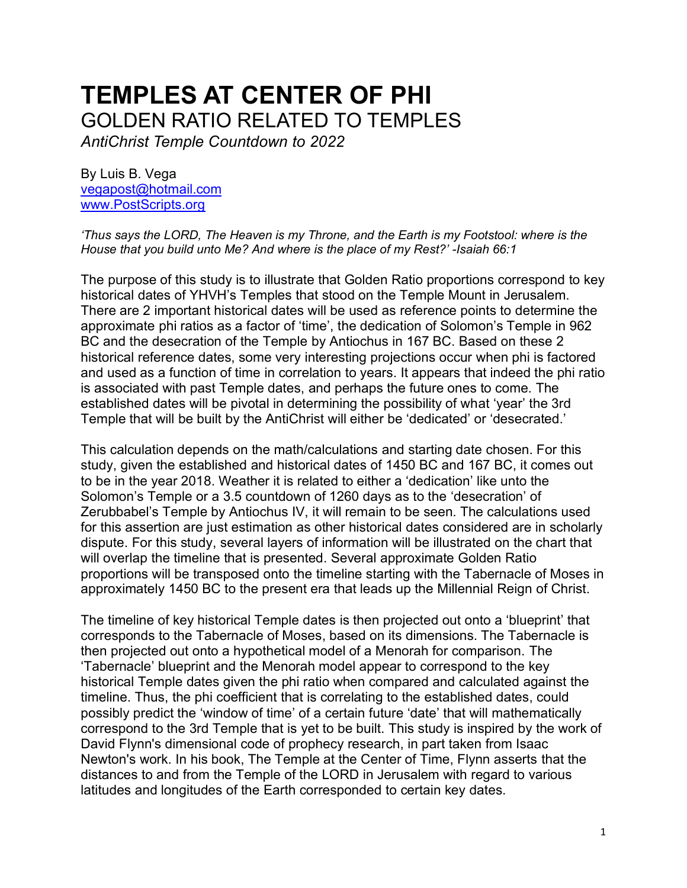# **TEMPLES AT CENTER OF PHI**  GOLDEN RATIO RELATED TO TEMPLES

*AntiChrist Temple Countdown to 2022*

By Luis B. Vega [vegapost@hotmail.com](mailto:vegapost@hotmail.com) [www.PostScripts.org](http://www.postscripts.org/)

*'Thus says the LORD, The Heaven is my Throne, and the Earth is my Footstool: where is the House that you build unto Me? And where is the place of my Rest?' -Isaiah 66:1*

The purpose of this study is to illustrate that Golden Ratio proportions correspond to key historical dates of YHVH's Temples that stood on the Temple Mount in Jerusalem. There are 2 important historical dates will be used as reference points to determine the approximate phi ratios as a factor of 'time', the dedication of Solomon's Temple in 962 BC and the desecration of the Temple by Antiochus in 167 BC. Based on these 2 historical reference dates, some very interesting projections occur when phi is factored and used as a function of time in correlation to years. It appears that indeed the phi ratio is associated with past Temple dates, and perhaps the future ones to come. The established dates will be pivotal in determining the possibility of what 'year' the 3rd Temple that will be built by the AntiChrist will either be 'dedicated' or 'desecrated.'

This calculation depends on the math/calculations and starting date chosen. For this study, given the established and historical dates of 1450 BC and 167 BC, it comes out to be in the year 2018. Weather it is related to either a 'dedication' like unto the Solomon's Temple or a 3.5 countdown of 1260 days as to the 'desecration' of Zerubbabel's Temple by Antiochus IV, it will remain to be seen. The calculations used for this assertion are just estimation as other historical dates considered are in scholarly dispute. For this study, several layers of information will be illustrated on the chart that will overlap the timeline that is presented. Several approximate Golden Ratio proportions will be transposed onto the timeline starting with the Tabernacle of Moses in approximately 1450 BC to the present era that leads up the Millennial Reign of Christ.

The timeline of key historical Temple dates is then projected out onto a 'blueprint' that corresponds to the Tabernacle of Moses, based on its dimensions. The Tabernacle is then projected out onto a hypothetical model of a Menorah for comparison. The 'Tabernacle' blueprint and the Menorah model appear to correspond to the key historical Temple dates given the phi ratio when compared and calculated against the timeline. Thus, the phi coefficient that is correlating to the established dates, could possibly predict the 'window of time' of a certain future 'date' that will mathematically correspond to the 3rd Temple that is yet to be built. This study is inspired by the work of David Flynn's dimensional code of prophecy research, in part taken from Isaac Newton's work. In his book, The Temple at the Center of Time, Flynn asserts that the distances to and from the Temple of the LORD in Jerusalem with regard to various latitudes and longitudes of the Earth corresponded to certain key dates.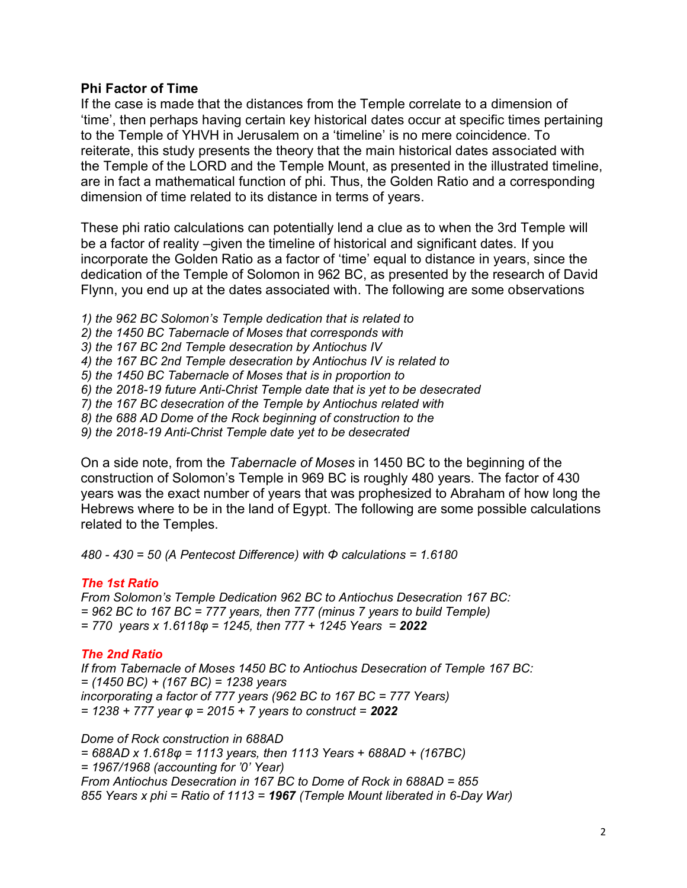## **Phi Factor of Time**

If the case is made that the distances from the Temple correlate to a dimension of 'time', then perhaps having certain key historical dates occur at specific times pertaining to the Temple of YHVH in Jerusalem on a 'timeline' is no mere coincidence. To reiterate, this study presents the theory that the main historical dates associated with the Temple of the LORD and the Temple Mount, as presented in the illustrated timeline, are in fact a mathematical function of phi. Thus, the Golden Ratio and a corresponding dimension of time related to its distance in terms of years.

These phi ratio calculations can potentially lend a clue as to when the 3rd Temple will be a factor of reality –given the timeline of historical and significant dates. If you incorporate the Golden Ratio as a factor of 'time' equal to distance in years, since the dedication of the Temple of Solomon in 962 BC, as presented by the research of David Flynn, you end up at the dates associated with. The following are some observations

*1) the 962 BC Solomon's Temple dedication that is related to 2) the 1450 BC Tabernacle of Moses that corresponds with 3) the 167 BC 2nd Temple desecration by Antiochus IV 4) the 167 BC 2nd Temple desecration by Antiochus IV is related to 5) the 1450 BC Tabernacle of Moses that is in proportion to 6) the 2018-19 future Anti-Christ Temple date that is yet to be desecrated 7) the 167 BC desecration of the Temple by Antiochus related with 8) the 688 AD Dome of the Rock beginning of construction to the 9) the 2018-19 Anti-Christ Temple date yet to be desecrated*

On a side note, from the *Tabernacle of Moses* in 1450 BC to the beginning of the construction of Solomon's Temple in 969 BC is roughly 480 years. The factor of 430 years was the exact number of years that was prophesized to Abraham of how long the Hebrews where to be in the land of Egypt. The following are some possible calculations related to the Temples.

*480 - 430 = 50 (A Pentecost Difference) with Φ calculations = 1.6180*

#### *The 1st Ratio*

*From Solomon's Temple Dedication 962 BC to Antiochus Desecration 167 BC: = 962 BC to 167 BC = 777 years, then 777 (minus 7 years to build Temple) = 770 years x 1.6118φ = 1245, then 777 + 1245 Years = 2022*

#### *The 2nd Ratio*

*If from Tabernacle of Moses 1450 BC to Antiochus Desecration of Temple 167 BC: = (1450 BC) + (167 BC) = 1238 years incorporating a factor of 777 years (962 BC to 167 BC = 777 Years) = 1238 + 777 year φ = 2015 + 7 years to construct = 2022*

*Dome of Rock construction in 688AD = 688AD x 1.618φ = 1113 years, then 1113 Years + 688AD + (167BC) = 1967/1968 (accounting for '0' Year) From Antiochus Desecration in 167 BC to Dome of Rock in 688AD = 855 855 Years x phi = Ratio of 1113 = 1967 (Temple Mount liberated in 6-Day War)*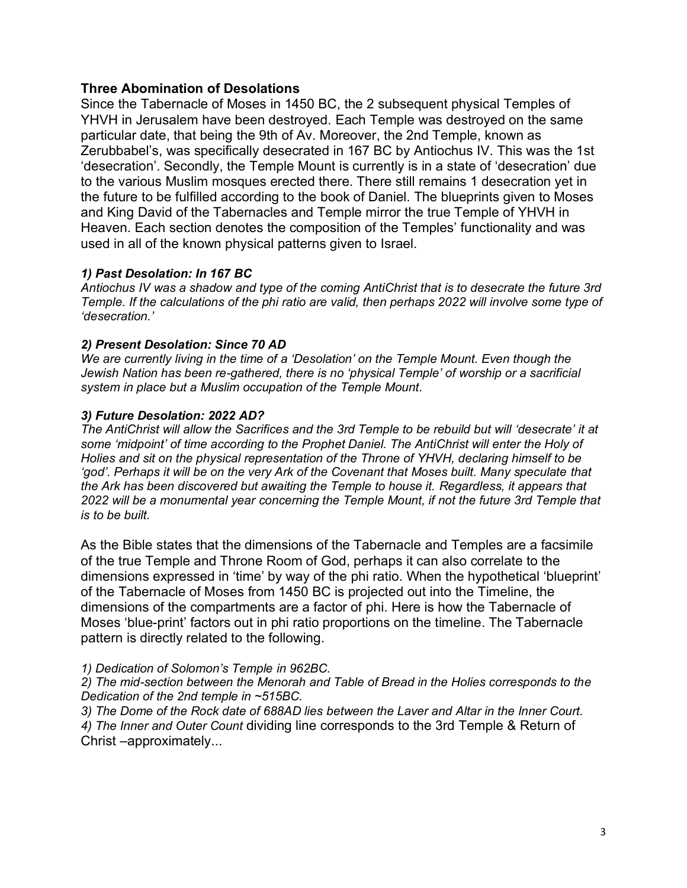# **Three Abomination of Desolations**

Since the Tabernacle of Moses in 1450 BC, the 2 subsequent physical Temples of YHVH in Jerusalem have been destroyed. Each Temple was destroyed on the same particular date, that being the 9th of Av. Moreover, the 2nd Temple, known as Zerubbabel's, was specifically desecrated in 167 BC by Antiochus IV. This was the 1st 'desecration'. Secondly, the Temple Mount is currently is in a state of 'desecration' due to the various Muslim mosques erected there. There still remains 1 desecration yet in the future to be fulfilled according to the book of Daniel. The blueprints given to Moses and King David of the Tabernacles and Temple mirror the true Temple of YHVH in Heaven. Each section denotes the composition of the Temples' functionality and was used in all of the known physical patterns given to Israel.

## *1) Past Desolation: In 167 BC*

*Antiochus IV was a shadow and type of the coming AntiChrist that is to desecrate the future 3rd Temple. If the calculations of the phi ratio are valid, then perhaps 2022 will involve some type of 'desecration.'* 

## *2) Present Desolation: Since 70 AD*

*We are currently living in the time of a 'Desolation' on the Temple Mount. Even though the Jewish Nation has been re-gathered, there is no 'physical Temple' of worship or a sacrificial system in place but a Muslim occupation of the Temple Mount.*

## *3) Future Desolation: 2022 AD?*

*The AntiChrist will allow the Sacrifices and the 3rd Temple to be rebuild but will 'desecrate' it at some 'midpoint' of time according to the Prophet Daniel. The AntiChrist will enter the Holy of Holies and sit on the physical representation of the Throne of YHVH, declaring himself to be*  'god'. Perhaps it will be on the very Ark of the Covenant that Moses built. Many speculate that *the Ark has been discovered but awaiting the Temple to house it. Regardless, it appears that 2022 will be a monumental year concerning the Temple Mount, if not the future 3rd Temple that is to be built.*

As the Bible states that the dimensions of the Tabernacle and Temples are a facsimile of the true Temple and Throne Room of God, perhaps it can also correlate to the dimensions expressed in 'time' by way of the phi ratio. When the hypothetical 'blueprint' of the Tabernacle of Moses from 1450 BC is projected out into the Timeline, the dimensions of the compartments are a factor of phi. Here is how the Tabernacle of Moses 'blue-print' factors out in phi ratio proportions on the timeline. The Tabernacle pattern is directly related to the following.

#### *1) Dedication of Solomon's Temple in 962BC.*

*2) The mid-section between the Menorah and Table of Bread in the Holies corresponds to the Dedication of the 2nd temple in ~515BC.*

*3) The Dome of the Rock date of 688AD lies between the Laver and Altar in the Inner Court. 4) The Inner and Outer Count* dividing line corresponds to the 3rd Temple & Return of Christ –approximately...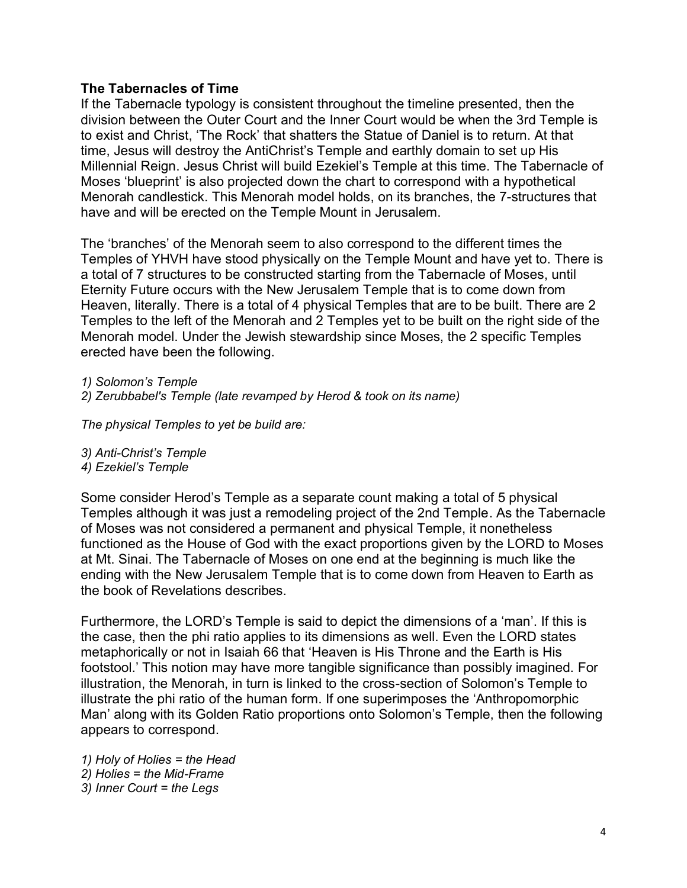#### **The Tabernacles of Time**

If the Tabernacle typology is consistent throughout the timeline presented, then the division between the Outer Court and the Inner Court would be when the 3rd Temple is to exist and Christ, 'The Rock' that shatters the Statue of Daniel is to return. At that time, Jesus will destroy the AntiChrist's Temple and earthly domain to set up His Millennial Reign. Jesus Christ will build Ezekiel's Temple at this time. The Tabernacle of Moses 'blueprint' is also projected down the chart to correspond with a hypothetical Menorah candlestick. This Menorah model holds, on its branches, the 7-structures that have and will be erected on the Temple Mount in Jerusalem.

The 'branches' of the Menorah seem to also correspond to the different times the Temples of YHVH have stood physically on the Temple Mount and have yet to. There is a total of 7 structures to be constructed starting from the Tabernacle of Moses, until Eternity Future occurs with the New Jerusalem Temple that is to come down from Heaven, literally. There is a total of 4 physical Temples that are to be built. There are 2 Temples to the left of the Menorah and 2 Temples yet to be built on the right side of the Menorah model. Under the Jewish stewardship since Moses, the 2 specific Temples erected have been the following.

*1) Solomon's Temple 2) Zerubbabel's Temple (late revamped by Herod & took on its name)*

*The physical Temples to yet be build are:*

*3) Anti-Christ's Temple 4) Ezekiel's Temple*

Some consider Herod's Temple as a separate count making a total of 5 physical Temples although it was just a remodeling project of the 2nd Temple. As the Tabernacle of Moses was not considered a permanent and physical Temple, it nonetheless functioned as the House of God with the exact proportions given by the LORD to Moses at Mt. Sinai. The Tabernacle of Moses on one end at the beginning is much like the ending with the New Jerusalem Temple that is to come down from Heaven to Earth as the book of Revelations describes.

Furthermore, the LORD's Temple is said to depict the dimensions of a 'man'. If this is the case, then the phi ratio applies to its dimensions as well. Even the LORD states metaphorically or not in Isaiah 66 that 'Heaven is His Throne and the Earth is His footstool.' This notion may have more tangible significance than possibly imagined. For illustration, the Menorah, in turn is linked to the cross-section of Solomon's Temple to illustrate the phi ratio of the human form. If one superimposes the 'Anthropomorphic Man' along with its Golden Ratio proportions onto Solomon's Temple, then the following appears to correspond.

*1) Holy of Holies = the Head 2) Holies = the Mid-Frame 3) Inner Court = the Legs*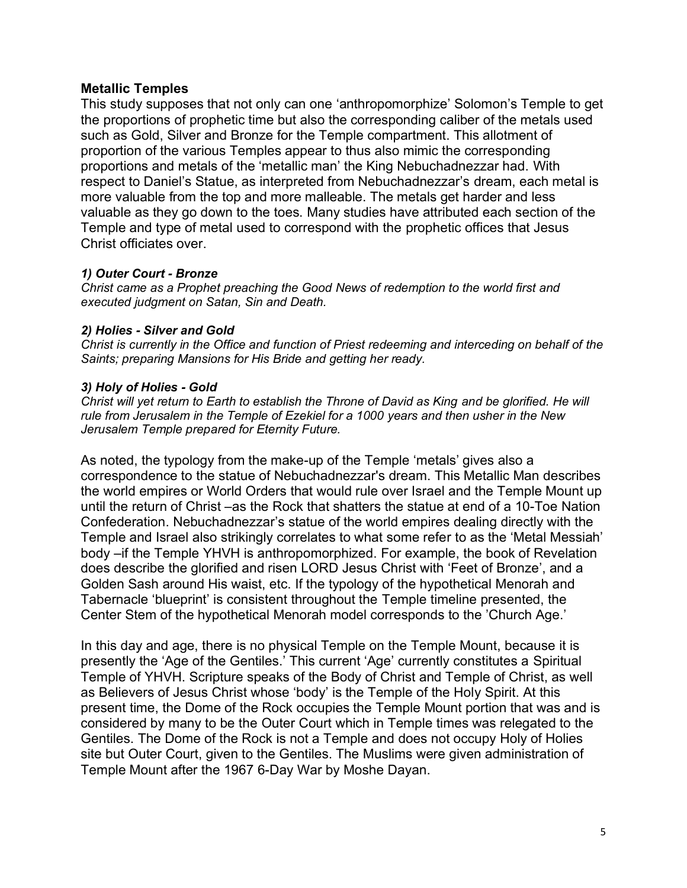# **Metallic Temples**

This study supposes that not only can one 'anthropomorphize' Solomon's Temple to get the proportions of prophetic time but also the corresponding caliber of the metals used such as Gold, Silver and Bronze for the Temple compartment. This allotment of proportion of the various Temples appear to thus also mimic the corresponding proportions and metals of the 'metallic man' the King Nebuchadnezzar had. With respect to Daniel's Statue, as interpreted from Nebuchadnezzar's dream, each metal is more valuable from the top and more malleable. The metals get harder and less valuable as they go down to the toes. Many studies have attributed each section of the Temple and type of metal used to correspond with the prophetic offices that Jesus Christ officiates over.

## *1) Outer Court - Bronze*

*Christ came as a Prophet preaching the Good News of redemption to the world first and executed judgment on Satan, Sin and Death.*

#### *2) Holies - Silver and Gold*

*Christ is currently in the Office and function of Priest redeeming and interceding on behalf of the Saints; preparing Mansions for His Bride and getting her ready.*

## *3) Holy of Holies - Gold*

*Christ will yet return to Earth to establish the Throne of David as King and be glorified. He will rule from Jerusalem in the Temple of Ezekiel for a 1000 years and then usher in the New Jerusalem Temple prepared for Eternity Future.*

As noted, the typology from the make-up of the Temple 'metals' gives also a correspondence to the statue of Nebuchadnezzar's dream. This Metallic Man describes the world empires or World Orders that would rule over Israel and the Temple Mount up until the return of Christ –as the Rock that shatters the statue at end of a 10-Toe Nation Confederation. Nebuchadnezzar's statue of the world empires dealing directly with the Temple and Israel also strikingly correlates to what some refer to as the 'Metal Messiah' body –if the Temple YHVH is anthropomorphized. For example, the book of Revelation does describe the glorified and risen LORD Jesus Christ with 'Feet of Bronze', and a Golden Sash around His waist, etc. If the typology of the hypothetical Menorah and Tabernacle 'blueprint' is consistent throughout the Temple timeline presented, the Center Stem of the hypothetical Menorah model corresponds to the 'Church Age.'

In this day and age, there is no physical Temple on the Temple Mount, because it is presently the 'Age of the Gentiles.' This current 'Age' currently constitutes a Spiritual Temple of YHVH. Scripture speaks of the Body of Christ and Temple of Christ, as well as Believers of Jesus Christ whose 'body' is the Temple of the Holy Spirit. At this present time, the Dome of the Rock occupies the Temple Mount portion that was and is considered by many to be the Outer Court which in Temple times was relegated to the Gentiles. The Dome of the Rock is not a Temple and does not occupy Holy of Holies site but Outer Court, given to the Gentiles. The Muslims were given administration of Temple Mount after the 1967 6-Day War by Moshe Dayan.